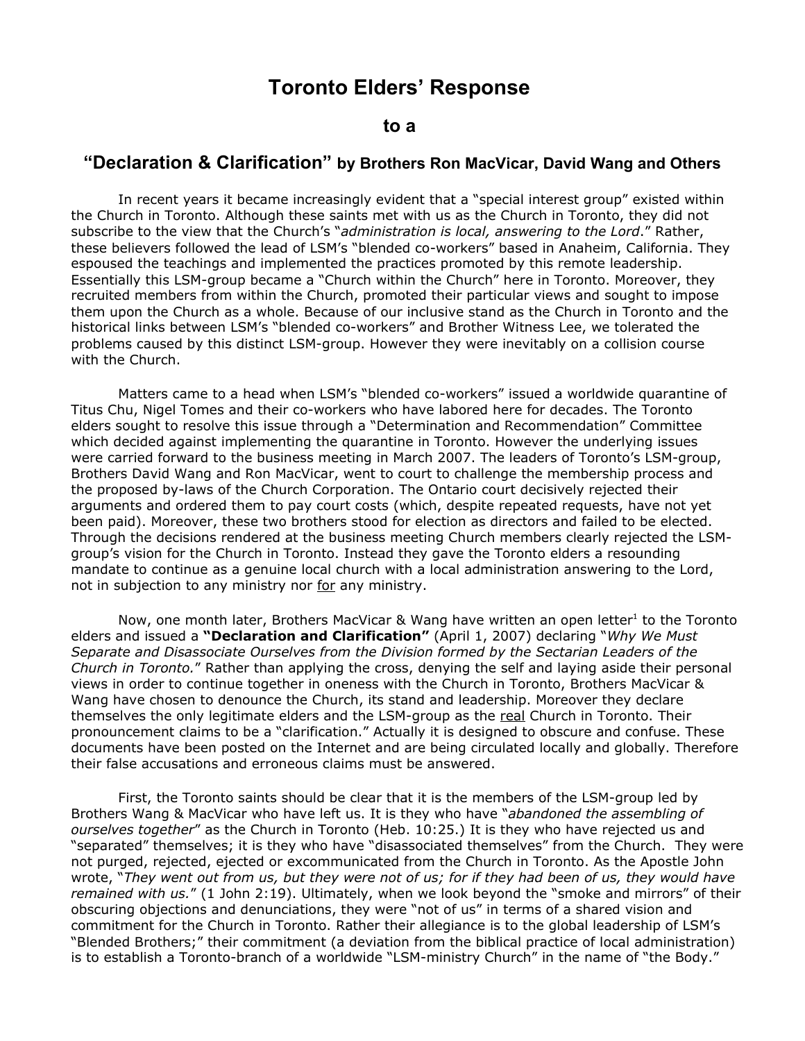# **Toronto Elders' Response**

## **to a**

## **"Declaration & Clarification" by Brothers Ron MacVicar, David Wang and Others**

In recent years it became increasingly evident that a "special interest group" existed within the Church in Toronto. Although these saints met with us as the Church in Toronto, they did not subscribe to the view that the Church's "*administration is local, answering to the Lord*." Rather, these believers followed the lead of LSM's "blended co-workers" based in Anaheim, California. They espoused the teachings and implemented the practices promoted by this remote leadership. Essentially this LSM-group became a "Church within the Church" here in Toronto. Moreover, they recruited members from within the Church, promoted their particular views and sought to impose them upon the Church as a whole. Because of our inclusive stand as the Church in Toronto and the historical links between LSM's "blended co-workers" and Brother Witness Lee, we tolerated the problems caused by this distinct LSM-group. However they were inevitably on a collision course with the Church.

Matters came to a head when LSM's "blended co-workers" issued a worldwide quarantine of Titus Chu, Nigel Tomes and their co-workers who have labored here for decades. The Toronto elders sought to resolve this issue through a "Determination and Recommendation" Committee which decided against implementing the quarantine in Toronto. However the underlying issues were carried forward to the business meeting in March 2007. The leaders of Toronto's LSM-group, Brothers David Wang and Ron MacVicar, went to court to challenge the membership process and the proposed by-laws of the Church Corporation. The Ontario court decisively rejected their arguments and ordered them to pay court costs (which, despite repeated requests, have not yet been paid). Moreover, these two brothers stood for election as directors and failed to be elected. Through the decisions rendered at the business meeting Church members clearly rejected the LSMgroup's vision for the Church in Toronto. Instead they gave the Toronto elders a resounding mandate to continue as a genuine local church with a local administration answering to the Lord, not in subjection to any ministry nor for any ministry.

Now, one month later, Brothers MacVicar & Wang have written an open letter<sup>1</sup> to the Toronto elders and issued a **"Declaration and Clarification"** (April 1, 2007) declaring "*Why We Must Separate and Disassociate Ourselves from the Division formed by the Sectarian Leaders of the Church in Toronto.*" Rather than applying the cross, denying the self and laying aside their personal views in order to continue together in oneness with the Church in Toronto, Brothers MacVicar & Wang have chosen to denounce the Church, its stand and leadership. Moreover they declare themselves the only legitimate elders and the LSM-group as the real Church in Toronto. Their pronouncement claims to be a "clarification." Actually it is designed to obscure and confuse. These documents have been posted on the Internet and are being circulated locally and globally. Therefore their false accusations and erroneous claims must be answered.

First, the Toronto saints should be clear that it is the members of the LSM-group led by Brothers Wang & MacVicar who have left us. It is they who have "*abandoned the assembling of ourselves together*" as the Church in Toronto (Heb. 10:25.) It is they who have rejected us and "separated" themselves; it is they who have "disassociated themselves" from the Church. They were not purged, rejected, ejected or excommunicated from the Church in Toronto. As the Apostle John wrote, "They went out from us, but they were not of us; for if they had been of us, they would have *remained with us.*" (1 John 2:19). Ultimately, when we look beyond the "smoke and mirrors" of their obscuring objections and denunciations, they were "not of us" in terms of a shared vision and commitment for the Church in Toronto. Rather their allegiance is to the global leadership of LSM's "Blended Brothers;" their commitment (a deviation from the biblical practice of local administration) is to establish a Toronto-branch of a worldwide "LSM-ministry Church" in the name of "the Body."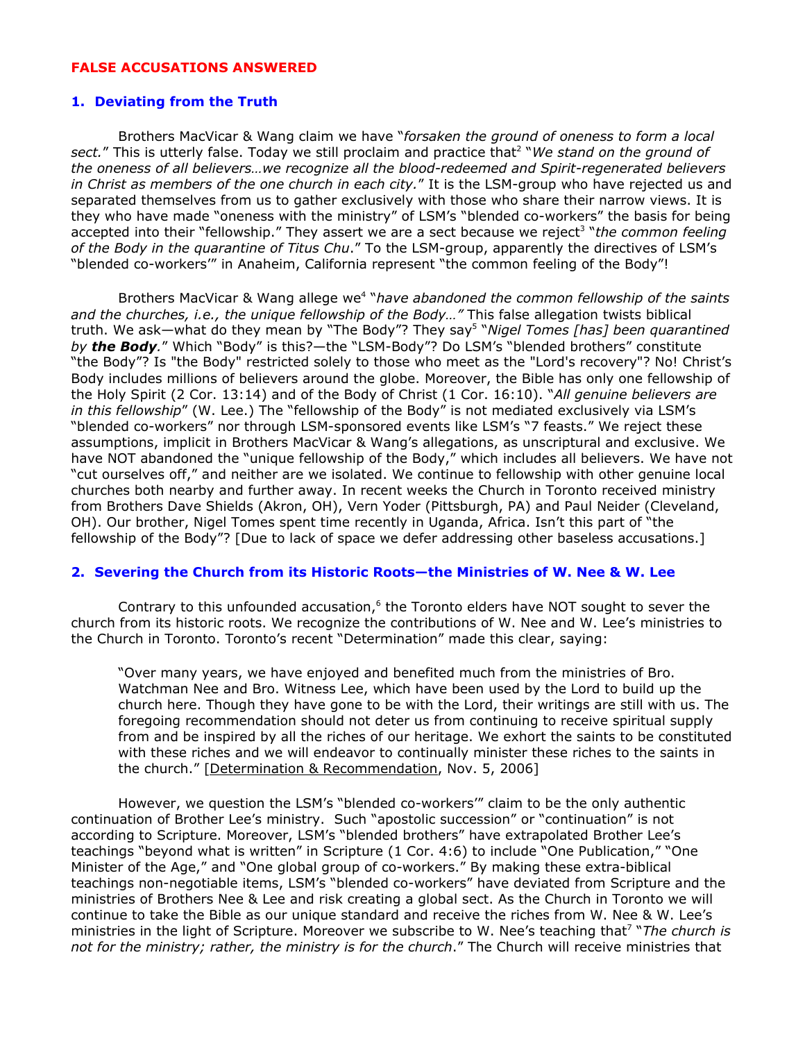#### **FALSE ACCUSATIONS ANSWERED**

#### **1. Deviating from the Truth**

Brothers MacVicar & Wang claim we have "*forsaken the ground of oneness to form a local sect.*" This is utterly false. Today we still proclaim and practice that 2 "*We stand on the ground of the oneness of all believers…we recognize all the blood-redeemed and Spirit-regenerated believers in Christ as members of the one church in each city.*" It is the LSM-group who have rejected us and separated themselves from us to gather exclusively with those who share their narrow views. It is they who have made "oneness with the ministry" of LSM's "blended co-workers" the basis for being accepted into their "fellowship." They assert we are a sect because we reject 3 "*the common feeling of the Body in the quarantine of Titus Chu*." To the LSM-group, apparently the directives of LSM's "blended co-workers'" in Anaheim, California represent "the common feeling of the Body"!

Brothers MacVicar & Wang allege we 4 "*have abandoned the common fellowship of the saints and the churches, i.e., the unique fellowship of the Body…"* This false allegation twists biblical truth. We ask—what do they mean by "The Body"? They say 5 "*Nigel Tomes [has] been quarantined by the Body.*" Which "Body" is this?—the "LSM-Body"? Do LSM's "blended brothers" constitute "the Body"? Is "the Body" restricted solely to those who meet as the "Lord's recovery"? No! Christ's Body includes millions of believers around the globe. Moreover, the Bible has only one fellowship of the Holy Spirit (2 Cor. 13:14) and of the Body of Christ (1 Cor. 16:10). "*All genuine believers are in this fellowship*" (W. Lee.) The "fellowship of the Body" is not mediated exclusively via LSM's "blended co-workers" nor through LSM-sponsored events like LSM's "7 feasts." We reject these assumptions, implicit in Brothers MacVicar & Wang's allegations, as unscriptural and exclusive. We have NOT abandoned the "unique fellowship of the Body," which includes all believers. We have not "cut ourselves off," and neither are we isolated. We continue to fellowship with other genuine local churches both nearby and further away. In recent weeks the Church in Toronto received ministry from Brothers Dave Shields (Akron, OH), Vern Yoder (Pittsburgh, PA) and Paul Neider (Cleveland, OH). Our brother, Nigel Tomes spent time recently in Uganda, Africa. Isn't this part of "the fellowship of the Body"? [Due to lack of space we defer addressing other baseless accusations.]

### **2. Severing the Church from its Historic Roots—the Ministries of W. Nee & W. Lee**

Contrary to this unfounded accusation, $6$  the Toronto elders have NOT sought to sever the church from its historic roots. We recognize the contributions of W. Nee and W. Lee's ministries to the Church in Toronto. Toronto's recent "Determination" made this clear, saying:

"Over many years, we have enjoyed and benefited much from the ministries of Bro. Watchman Nee and Bro. Witness Lee, which have been used by the Lord to build up the church here. Though they have gone to be with the Lord, their writings are still with us. The foregoing recommendation should not deter us from continuing to receive spiritual supply from and be inspired by all the riches of our heritage. We exhort the saints to be constituted with these riches and we will endeavor to continually minister these riches to the saints in the church." [Determination & Recommendation, Nov. 5, 2006]

However, we question the LSM's "blended co-workers'" claim to be the only authentic continuation of Brother Lee's ministry. Such "apostolic succession" or "continuation" is not according to Scripture. Moreover, LSM's "blended brothers" have extrapolated Brother Lee's teachings "beyond what is written" in Scripture (1 Cor. 4:6) to include "One Publication," "One Minister of the Age," and "One global group of co-workers." By making these extra-biblical teachings non-negotiable items, LSM's "blended co-workers" have deviated from Scripture and the ministries of Brothers Nee & Lee and risk creating a global sect. As the Church in Toronto we will continue to take the Bible as our unique standard and receive the riches from W. Nee & W. Lee's ministries in the light of Scripture. Moreover we subscribe to W. Nee's teaching that 7 "*The church is not for the ministry; rather, the ministry is for the church*." The Church will receive ministries that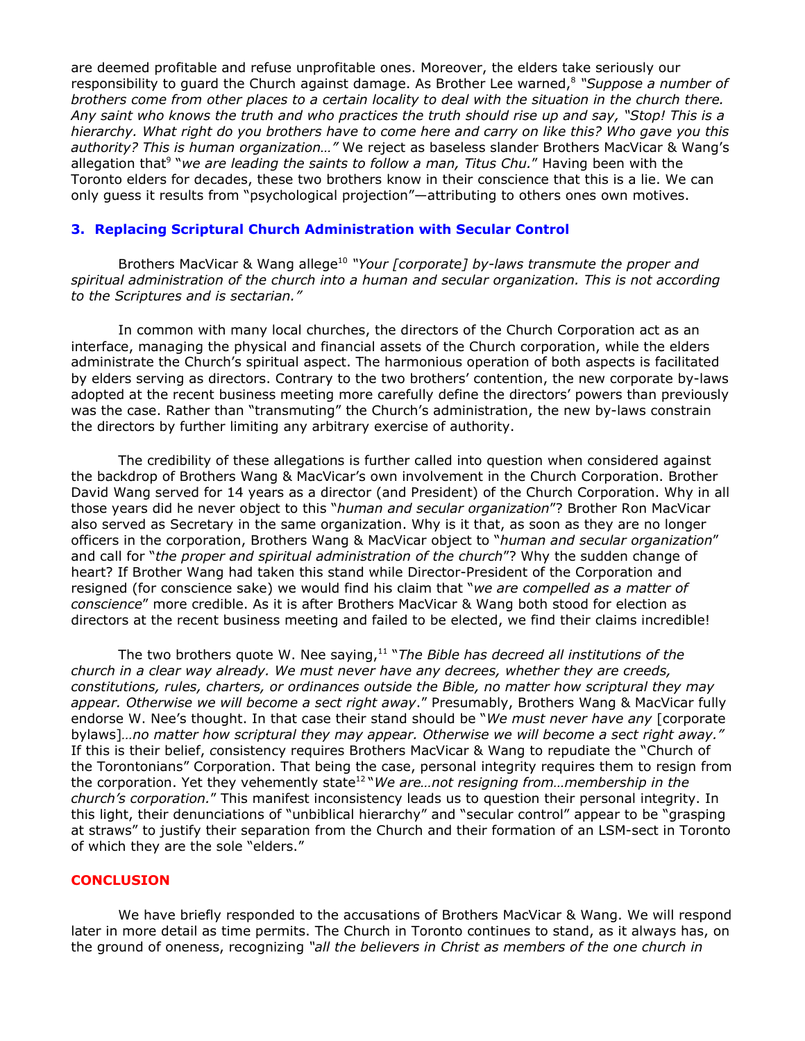are deemed profitable and refuse unprofitable ones. Moreover, the elders take seriously our responsibility to guard the Church against damage. As Brother Lee warned, 8 *"Suppose a number of* brothers come from other places to a certain locality to deal with the situation in the church there. Any saint who knows the truth and who practices the truth should rise up and say, "Stop! This is a *hierarchy. What right do you brothers have to come here and carry on like this? Who gave you this authority? This is human organization…"* We reject as baseless slander Brothers MacVicar & Wang's allegation that 9 "*we are leading the saints to follow a man, Titus Chu.*" Having been with the Toronto elders for decades, these two brothers know in their conscience that this is a lie. We can only guess it results from "psychological projection"—attributing to others ones own motives.

#### **3. Replacing Scriptural Church Administration with Secular Control**

Brothers MacVicar & Wang allege 10 *"Your [corporate] by-laws transmute the proper and spiritual administration of the church into a human and secular organization. This is not according to the Scriptures and is sectarian."*

In common with many local churches, the directors of the Church Corporation act as an interface, managing the physical and financial assets of the Church corporation, while the elders administrate the Church's spiritual aspect. The harmonious operation of both aspects is facilitated by elders serving as directors. Contrary to the two brothers' contention, the new corporate by-laws adopted at the recent business meeting more carefully define the directors' powers than previously was the case. Rather than "transmuting" the Church's administration, the new by-laws constrain the directors by further limiting any arbitrary exercise of authority.

The credibility of these allegations is further called into question when considered against the backdrop of Brothers Wang & MacVicar's own involvement in the Church Corporation. Brother David Wang served for 14 years as a director (and President) of the Church Corporation. Why in all those years did he never object to this "*human and secular organization*"? Brother Ron MacVicar also served as Secretary in the same organization. Why is it that, as soon as they are no longer officers in the corporation, Brothers Wang & MacVicar object to "*human and secular organization*" and call for "*the proper and spiritual administration of the church*"? Why the sudden change of heart? If Brother Wang had taken this stand while Director-President of the Corporation and resigned (for conscience sake) we would find his claim that "*we are compelled as a matter of conscience*" more credible. As it is after Brothers MacVicar & Wang both stood for election as directors at the recent business meeting and failed to be elected, we find their claims incredible!

The two brothers quote W. Nee saying, 11 "*The Bible has decreed all institutions of the church in a clear way already. We must never have any decrees, whether they are creeds, constitutions, rules, charters, or ordinances outside the Bible, no matter how scriptural they may appear. Otherwise we will become a sect right away*." Presumably, Brothers Wang & MacVicar fully endorse W. Nee's thought. In that case their stand should be "*We must never have any* [corporate bylaws]*…no matter how scriptural they may appear. Otherwise we will become a sect right away."* If this is their belief, *c*onsistency requires Brothers MacVicar & Wang to repudiate the "Church of the Torontonians" Corporation. That being the case, personal integrity requires them to resign from the corporation. Yet they vehemently state 12 "*We are…not resigning from…membership in the church's corporation.*" This manifest inconsistency leads us to question their personal integrity. In this light, their denunciations of "unbiblical hierarchy" and "secular control" appear to be "grasping at straws" to justify their separation from the Church and their formation of an LSM-sect in Toronto of which they are the sole "elders."

#### **CONCLUSION**

We have briefly responded to the accusations of Brothers MacVicar & Wang. We will respond later in more detail as time permits. The Church in Toronto continues to stand, as it always has, on the ground of oneness, recognizing *"all the believers in Christ as members of the one church in*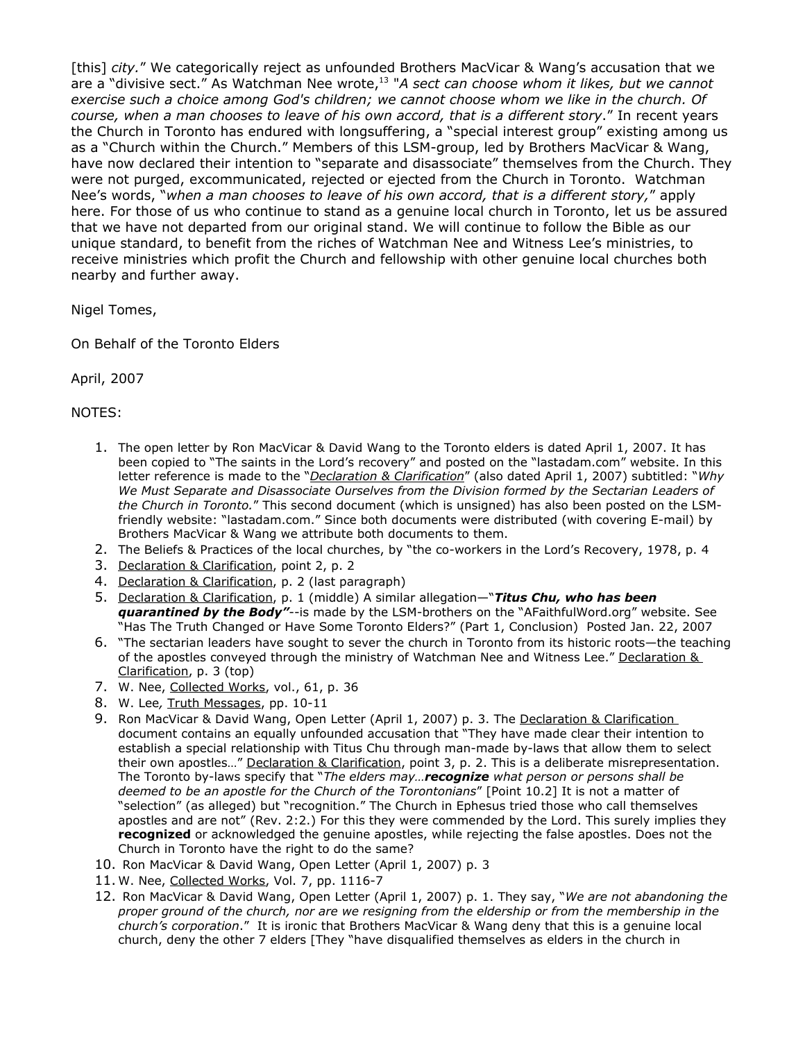[this] *city.*" We categorically reject as unfounded Brothers MacVicar & Wang's accusation that we are a "divisive sect." As Watchman Nee wrote, 13 "*A sect can choose whom it likes, but we cannot exercise such a choice among God's children; we cannot choose whom we like in the church. Of course, when a man chooses to leave of his own accord, that is a different story*." In recent years the Church in Toronto has endured with longsuffering, a "special interest group" existing among us as a "Church within the Church." Members of this LSM-group, led by Brothers MacVicar & Wang, have now declared their intention to "separate and disassociate" themselves from the Church. They were not purged, excommunicated, rejected or ejected from the Church in Toronto. Watchman Nee's words, "*when a man chooses to leave of his own accord, that is a different story,*" apply here. For those of us who continue to stand as a genuine local church in Toronto, let us be assured that we have not departed from our original stand. We will continue to follow the Bible as our unique standard, to benefit from the riches of Watchman Nee and Witness Lee's ministries, to receive ministries which profit the Church and fellowship with other genuine local churches both nearby and further away.

Nigel Tomes,

On Behalf of the Toronto Elders

April, 2007

NOTES:

- 1. The open letter by Ron MacVicar & David Wang to the Toronto elders is dated April 1, 2007. It has been copied to "The saints in the Lord's recovery" and posted on the "lastadam.com" website. In this letter reference is made to the "*Declaration & Clarification*" (also dated April 1, 2007) subtitled: "*Why We Must Separate and Disassociate Ourselves from the Division formed by the Sectarian Leaders of the Church in Toronto.*" This second document (which is unsigned) has also been posted on the LSMfriendly website: "lastadam.com." Since both documents were distributed (with covering E-mail) by Brothers MacVicar & Wang we attribute both documents to them.
- 2. The Beliefs & Practices of the local churches, by "the co-workers in the Lord's Recovery, 1978, p. 4
- 3. Declaration & Clarification, point 2, p. 2
- 4. Declaration & Clarification, p. 2 (last paragraph)
- 5. Declaration & Clarification, p. 1 (middle) A similar allegation—"**Titus Chu, who has been** *quarantined by the Body"*--is made by the LSM-brothers on the "AFaithfulWord.org" website. See "Has The Truth Changed or Have Some Toronto Elders?" (Part 1, Conclusion) Posted Jan. 22, 2007
- 6. "The sectarian leaders have sought to sever the church in Toronto from its historic roots—the teaching of the apostles conveyed through the ministry of Watchman Nee and Witness Lee." Declaration & Clarification, p. 3 (top)
- 7. W. Nee, Collected Works, vol., 61, p. 36
- 8. W. Lee*,* Truth Messages, pp. 10-11
- 9. Ron MacVicar & David Wang, Open Letter (April 1, 2007) p. 3. The Declaration & Clarification document contains an equally unfounded accusation that "They have made clear their intention to establish a special relationship with Titus Chu through man-made by-laws that allow them to select their own apostles..." Declaration & Clarification, point 3, p. 2. This is a deliberate misrepresentation. The Toronto by-laws specify that "*The elders may…recognize what person or persons shall be deemed to be an apostle for the Church of the Torontonians*" [Point 10.2] It is not a matter of "selection" (as alleged) but "recognition." The Church in Ephesus tried those who call themselves apostles and are not" (Rev. 2:2.) For this they were commended by the Lord. This surely implies they **recognized** or acknowledged the genuine apostles, while rejecting the false apostles. Does not the Church in Toronto have the right to do the same?
- 10. Ron MacVicar & David Wang, Open Letter (April 1, 2007) p. 3
- 11. W. Nee, Collected Works, Vol. 7, pp. 1116-7
- 12. Ron MacVicar & David Wang, Open Letter (April 1, 2007) p. 1. They say, "*We are not abandoning the proper ground of the church, nor are we resigning from the eldership or from the membership in the church's corporation*." It is ironic that Brothers MacVicar & Wang deny that this is a genuine local church, deny the other 7 elders [They "have disqualified themselves as elders in the church in